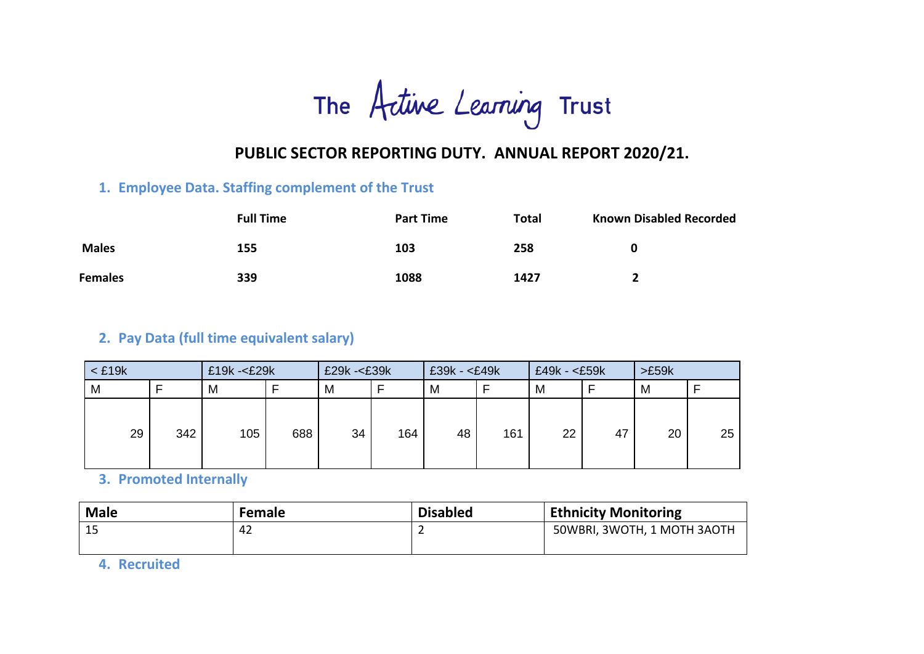The Active Learning Trust

# **PUBLIC SECTOR REPORTING DUTY. ANNUAL REPORT 2020/21.**

## **1. Employee Data. Staffing complement of the Trust**

|                | <b>Full Time</b> | <b>Part Time</b> | <b>Total</b> | <b>Known Disabled Recorded</b> |
|----------------|------------------|------------------|--------------|--------------------------------|
| <b>Males</b>   | 155              | 103              | 258          |                                |
| <b>Females</b> | 339              | 1088             | 1427         |                                |

# **2. Pay Data (full time equivalent salary)**

| $<$ £19 $k$ |     | $£19k - < E29k$ |     | £29k -< £39k |     | $£39k - < £49k$ |     | £49k - <£59k |    | >£59k |    |
|-------------|-----|-----------------|-----|--------------|-----|-----------------|-----|--------------|----|-------|----|
| M           |     | M               |     | M            |     | M               |     | M            |    | M     |    |
| 29          | 342 | 105             | 688 | 34           | 164 | 48              | 161 | 22           | 47 | 20    | 25 |

**3. Promoted Internally**

| <b>Male</b> | <b>Female</b> | <b>Disabled</b> | <b>Ethnicity Monitoring</b> |
|-------------|---------------|-----------------|-----------------------------|
| 15          | 42            |                 | 50WBRI, 3WOTH, 1 MOTH 3AOTH |

**4. Recruited**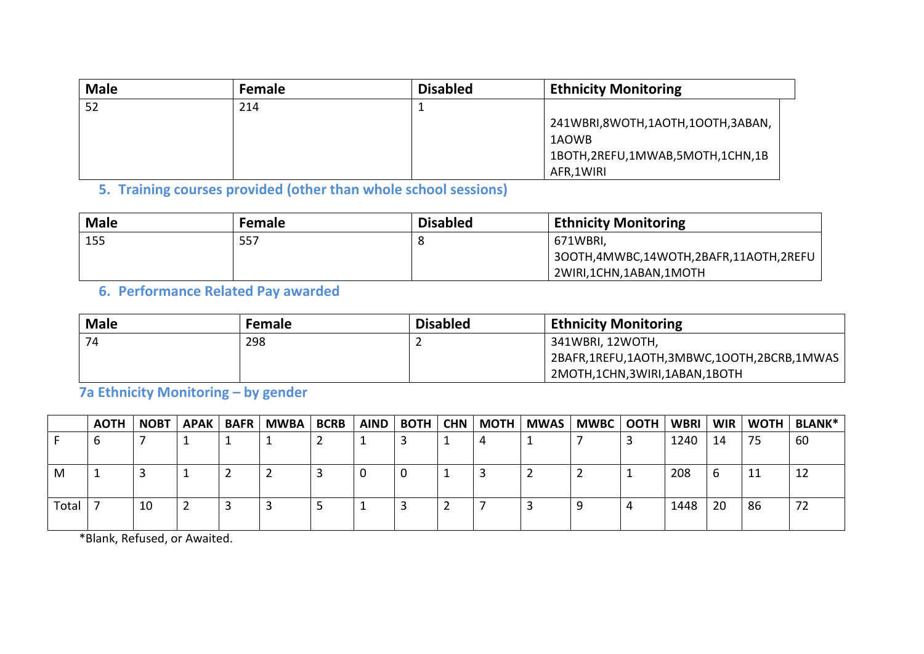| <b>Male</b> | <b>Female</b> | <b>Disabled</b> | <b>Ethnicity Monitoring</b>      |
|-------------|---------------|-----------------|----------------------------------|
| 52          | 214           |                 |                                  |
|             |               |                 | 241WBRI,8WOTH,1AOTH,1OOTH,3ABAN, |
|             |               |                 | 1AOWB                            |
|             |               |                 | 1BOTH,2REFU,1MWAB,5MOTH,1CHN,1B  |
|             |               |                 | AFR,1WIRI                        |

**5. Training courses provided (other than whole school sessions)**

| <b>Male</b> | Female | <b>Disabled</b> | <b>Ethnicity Monitoring</b>           |
|-------------|--------|-----------------|---------------------------------------|
| 155         | 557    |                 | 671WBRI,                              |
|             |        |                 | 300TH,4MWBC,14WOTH,2BAFR,11AOTH,2REFU |
|             |        |                 | 2WIRI,1CHN,1ABAN,1MOTH                |

**6. Performance Related Pay awarded** 

| <b>Male</b> | <b>Female</b> | <b>Disabled</b> | <b>Ethnicity Monitoring</b>               |
|-------------|---------------|-----------------|-------------------------------------------|
| 74          | 298           |                 | 341WBRI, 12WOTH,                          |
|             |               |                 | 2BAFR,1REFU,1AOTH,3MBWC,1OOTH,2BCRB,1MWAS |
|             |               |                 | 2MOTH,1CHN,3WIRI,1ABAN,1BOTH              |

**7a Ethnicity Monitoring – by gender**

|       | <b>AOTH</b> | <b>NOBT</b> | APAK BAFR | <b>MWBA</b> | <b>BCRB</b> | AIND   BOTH   CHN | MOTH | MWAS   MWBC   OOTH   WBRI |   |      | WIR |    | WOTH   BLANK* |
|-------|-------------|-------------|-----------|-------------|-------------|-------------------|------|---------------------------|---|------|-----|----|---------------|
|       | O           |             |           |             |             |                   |      |                           |   | 1240 | 14  | 75 | 60            |
| M     |             |             |           |             |             |                   |      |                           |   | 208  | b   | 11 | ᅶ             |
| Total |             | 10          |           |             |             |                   |      |                           | 4 | 1448 | 20  | 86 |               |

\*Blank, Refused, or Awaited.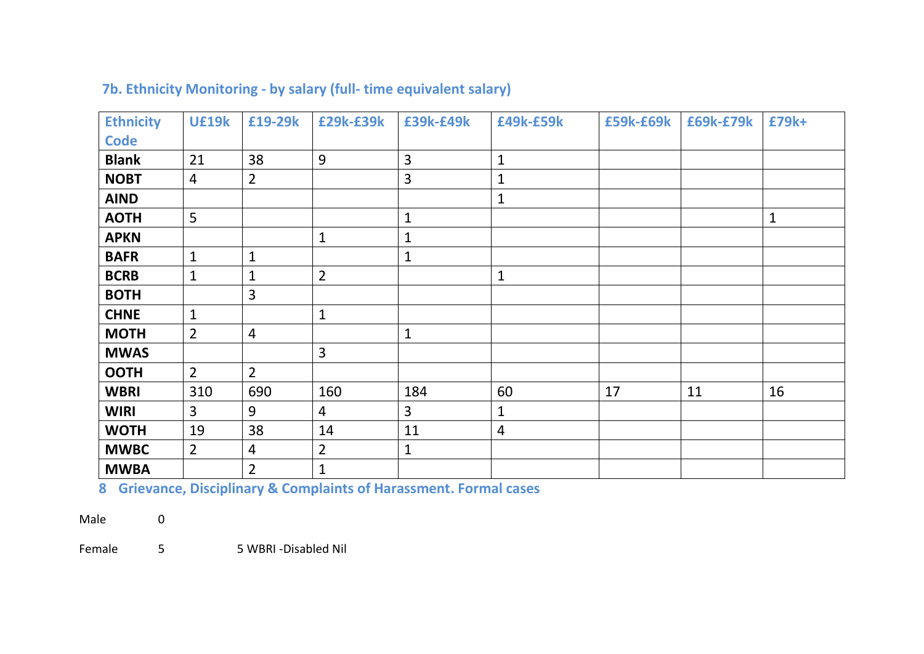| <b>Ethnicity</b> | <b>U£19k</b>   | £19-29k        | £29k-£39k      | £39k-£49k    | £49k-£59k      | £59k-£69k | £69k-£79k | £79k+        |
|------------------|----------------|----------------|----------------|--------------|----------------|-----------|-----------|--------------|
| <b>Code</b>      |                |                |                |              |                |           |           |              |
| <b>Blank</b>     | 21             | 38             | 9              | 3            | $\mathbf{1}$   |           |           |              |
| <b>NOBT</b>      | $\overline{4}$ | $\overline{2}$ |                | 3            | $\overline{1}$ |           |           |              |
| <b>AIND</b>      |                |                |                |              | $\mathbf{1}$   |           |           |              |
| <b>AOTH</b>      | 5              |                |                | $\mathbf 1$  |                |           |           | $\mathbf{1}$ |
| <b>APKN</b>      |                |                | $\mathbf{1}$   | $\mathbf{1}$ |                |           |           |              |
| <b>BAFR</b>      | $\mathbf{1}$   | $\mathbf{1}$   |                | $\mathbf{1}$ |                |           |           |              |
| <b>BCRB</b>      | $\mathbf{1}$   | $\mathbf{1}$   | $\overline{2}$ |              | $\mathbf{1}$   |           |           |              |
| <b>BOTH</b>      |                | 3              |                |              |                |           |           |              |
| <b>CHNE</b>      | $\mathbf{1}$   |                | $\mathbf{1}$   |              |                |           |           |              |
| <b>MOTH</b>      | $\overline{2}$ | $\overline{4}$ |                | $\mathbf{1}$ |                |           |           |              |
| <b>MWAS</b>      |                |                | $\overline{3}$ |              |                |           |           |              |
| <b>OOTH</b>      | $\overline{2}$ | $\overline{2}$ |                |              |                |           |           |              |
| <b>WBRI</b>      | 310            | 690            | 160            | 184          | 60             | 17        | 11        | 16           |
| <b>WIRI</b>      | $\overline{3}$ | 9              | $\overline{4}$ | 3            | $\mathbf 1$    |           |           |              |
| <b>WOTH</b>      | 19             | 38             | 14             | 11           | 4              |           |           |              |
| <b>MWBC</b>      | $\overline{2}$ | $\overline{4}$ | $\overline{2}$ | $\mathbf{1}$ |                |           |           |              |
| <b>MWBA</b>      |                | $\overline{2}$ | $\mathbf{1}$   |              |                |           |           |              |

# **7b. Ethnicity Monitoring - by salary (full- time equivalent salary)**

**8 Grievance, Disciplinary & Complaints of Harassment. Formal cases**

Male 0

Female 5 5 5 WBRI -Disabled Nil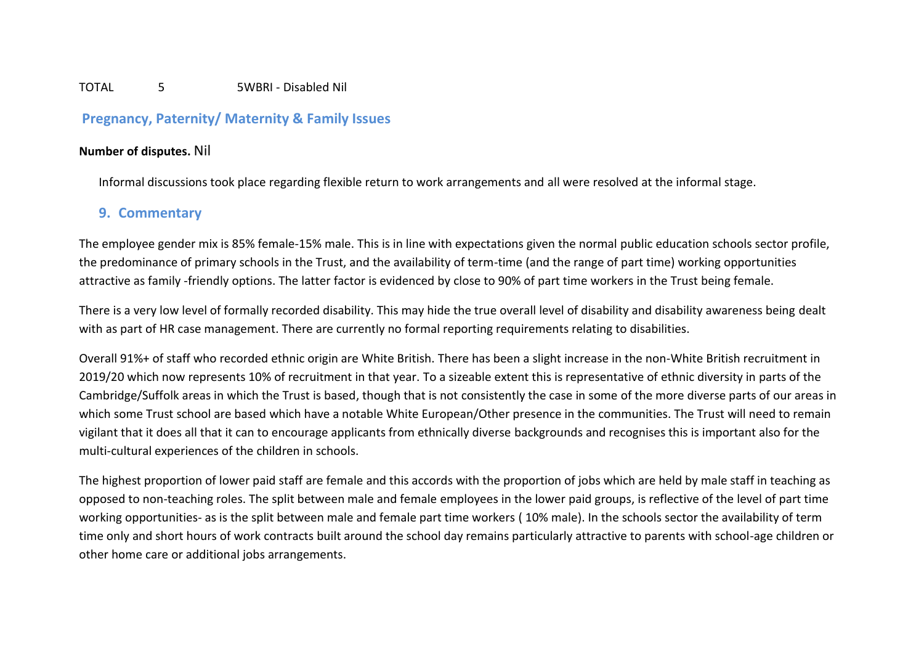#### TOTAL 5 5WBRI - Disabled Nil

## **Pregnancy, Paternity/ Maternity & Family Issues**

#### **Number of disputes.** Nil

Informal discussions took place regarding flexible return to work arrangements and all were resolved at the informal stage.

#### **9. Commentary**

The employee gender mix is 85% female-15% male. This is in line with expectations given the normal public education schools sector profile, the predominance of primary schools in the Trust, and the availability of term-time (and the range of part time) working opportunities attractive as family -friendly options. The latter factor is evidenced by close to 90% of part time workers in the Trust being female.

There is a very low level of formally recorded disability. This may hide the true overall level of disability and disability awareness being dealt with as part of HR case management. There are currently no formal reporting requirements relating to disabilities.

Overall 91%+ of staff who recorded ethnic origin are White British. There has been a slight increase in the non-White British recruitment in 2019/20 which now represents 10% of recruitment in that year. To a sizeable extent this is representative of ethnic diversity in parts of the Cambridge/Suffolk areas in which the Trust is based, though that is not consistently the case in some of the more diverse parts of our areas in which some Trust school are based which have a notable White European/Other presence in the communities. The Trust will need to remain vigilant that it does all that it can to encourage applicants from ethnically diverse backgrounds and recognises this is important also for the multi-cultural experiences of the children in schools.

The highest proportion of lower paid staff are female and this accords with the proportion of jobs which are held by male staff in teaching as opposed to non-teaching roles. The split between male and female employees in the lower paid groups, is reflective of the level of part time working opportunities- as is the split between male and female part time workers ( 10% male). In the schools sector the availability of term time only and short hours of work contracts built around the school day remains particularly attractive to parents with school-age children or other home care or additional jobs arrangements.